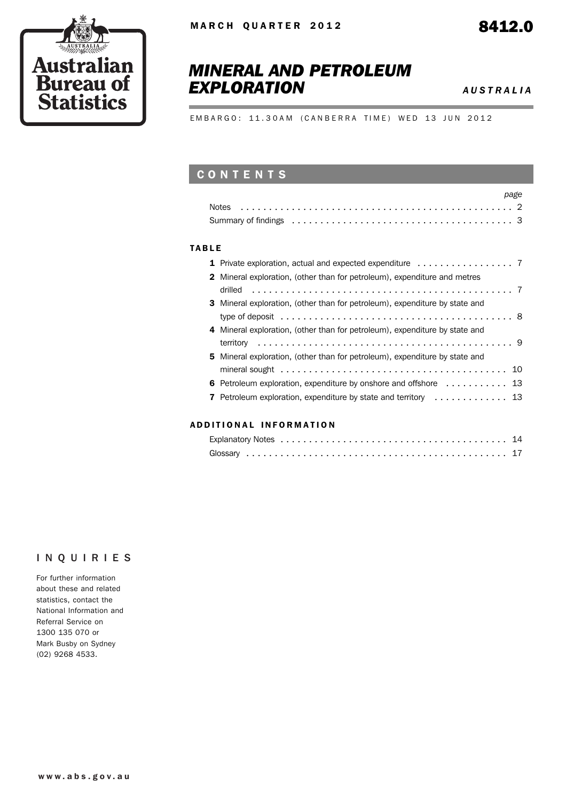

# *MINERAL AND PETROLEUM EXPLORATION AUSTRALIA*

EMBARGO: 11.30AM (CANBERRA TIME) WED 13 JUN 2012

# **CONTENTS**

|                                                                                                                 | page |
|-----------------------------------------------------------------------------------------------------------------|------|
|                                                                                                                 |      |
| Summary of findings enterpreteration of the series of the series of the series of the summary of findings enter |      |

#### TABLE

| 2 Mineral exploration, (other than for petroleum), expenditure and metres          |  |
|------------------------------------------------------------------------------------|--|
|                                                                                    |  |
| 3 Mineral exploration, (other than for petroleum), expenditure by state and        |  |
|                                                                                    |  |
| 4 Mineral exploration, (other than for petroleum), expenditure by state and        |  |
|                                                                                    |  |
| <b>5</b> Mineral exploration, (other than for petroleum), expenditure by state and |  |
|                                                                                    |  |
| 6 Petroleum exploration, expenditure by onshore and offshore  13                   |  |
| 7 Petroleum exploration, expenditure by state and territory  13                    |  |
|                                                                                    |  |

#### ADD ITIONAL INFORMATION

### INQUIRIES

For further information about these and related statistics, contact the National Information and Referral Service on 1300 135 070 or Mark Busby on Sydney (02) 9268 4533.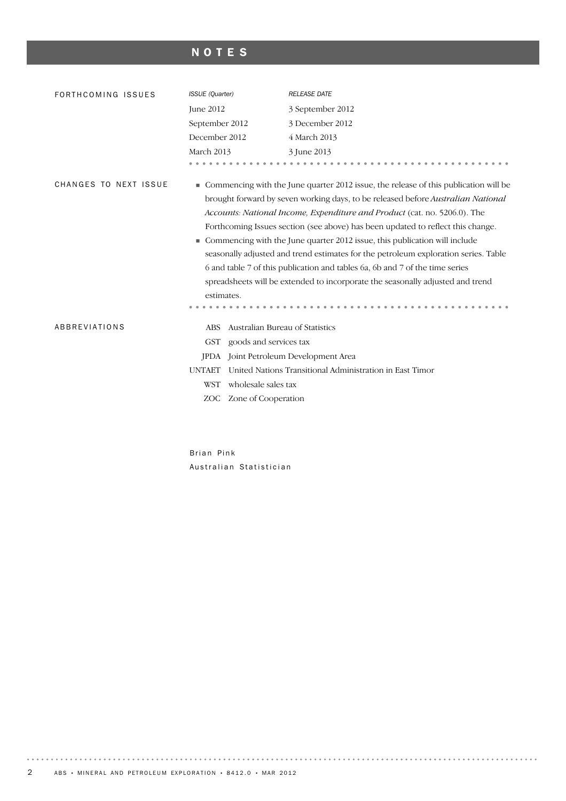# NOTES

| FORTHCOMING ISSUES    | ISSUE (Quarter)                               | <b>RELEASE DATE</b>                                                                                                                                                                                                                                                                                                                                                                                                                                                                                                                                                                                                                                                               |
|-----------------------|-----------------------------------------------|-----------------------------------------------------------------------------------------------------------------------------------------------------------------------------------------------------------------------------------------------------------------------------------------------------------------------------------------------------------------------------------------------------------------------------------------------------------------------------------------------------------------------------------------------------------------------------------------------------------------------------------------------------------------------------------|
|                       | June 2012                                     | 3 September 2012                                                                                                                                                                                                                                                                                                                                                                                                                                                                                                                                                                                                                                                                  |
|                       | September 2012                                | 3 December 2012                                                                                                                                                                                                                                                                                                                                                                                                                                                                                                                                                                                                                                                                   |
|                       | December 2012                                 | 4 March 2013                                                                                                                                                                                                                                                                                                                                                                                                                                                                                                                                                                                                                                                                      |
|                       | March 2013                                    | 3 June 2013                                                                                                                                                                                                                                                                                                                                                                                                                                                                                                                                                                                                                                                                       |
|                       |                                               |                                                                                                                                                                                                                                                                                                                                                                                                                                                                                                                                                                                                                                                                                   |
| CHANGES TO NEXT ISSUE | estimates.                                    | • Commencing with the June quarter 2012 issue, the release of this publication will be<br>brought forward by seven working days, to be released before Australian National<br>Accounts: National Income, Expenditure and Product (cat. no. 5206.0). The<br>Forthcoming Issues section (see above) has been updated to reflect this change.<br>Commencing with the June quarter 2012 issue, this publication will include<br>seasonally adjusted and trend estimates for the petroleum exploration series. Table<br>6 and table 7 of this publication and tables 6a, 6b and 7 of the time series<br>spreadsheets will be extended to incorporate the seasonally adjusted and trend |
| ABBREVIATIONS         | Australian Bureau of Statistics<br><b>ABS</b> |                                                                                                                                                                                                                                                                                                                                                                                                                                                                                                                                                                                                                                                                                   |
|                       | goods and services tax<br><b>GST</b>          |                                                                                                                                                                                                                                                                                                                                                                                                                                                                                                                                                                                                                                                                                   |
|                       | <b>IPDA</b>                                   | Joint Petroleum Development Area                                                                                                                                                                                                                                                                                                                                                                                                                                                                                                                                                                                                                                                  |
|                       | <b>UNTAET</b>                                 | United Nations Transitional Administration in East Timor                                                                                                                                                                                                                                                                                                                                                                                                                                                                                                                                                                                                                          |
|                       | wholesale sales tax<br><b>WST</b>             |                                                                                                                                                                                                                                                                                                                                                                                                                                                                                                                                                                                                                                                                                   |
|                       | Zone of Cooperation<br>ZOC                    |                                                                                                                                                                                                                                                                                                                                                                                                                                                                                                                                                                                                                                                                                   |
|                       |                                               |                                                                                                                                                                                                                                                                                                                                                                                                                                                                                                                                                                                                                                                                                   |

Brian Pink Australian Statistician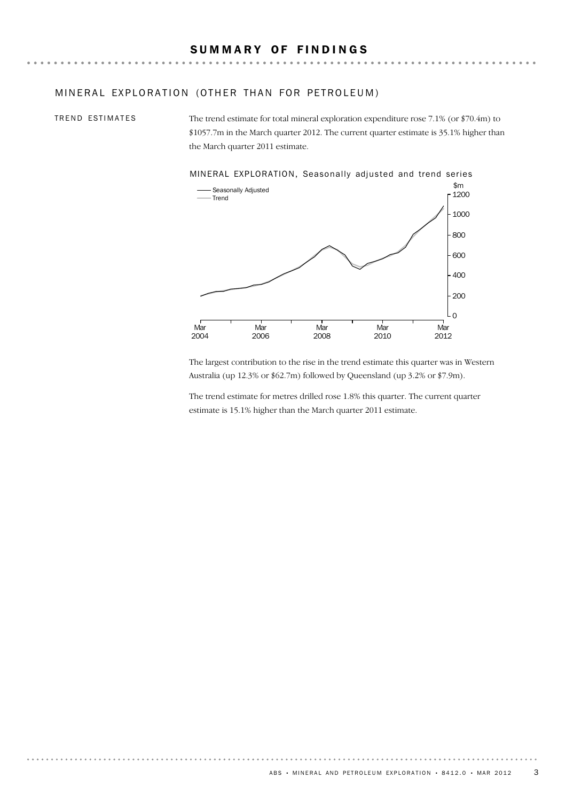#### MINERAL EXPLORATION (OTHER THAN FOR PETROLEUM)

TREND ESTIMATES

The trend estimate for total mineral exploration expenditure rose 7.1% (or \$70.4m) to \$1057.7m in the March quarter 2012. The current quarter estimate is 35.1% higher than the March quarter 2011 estimate.



The largest contribution to the rise in the trend estimate this quarter was in Western Australia (up 12.3% or \$62.7m) followed by Queensland (up 3.2% or \$7.9m).

The trend estimate for metres drilled rose 1.8% this quarter. The current quarter estimate is 15.1% higher than the March quarter 2011 estimate.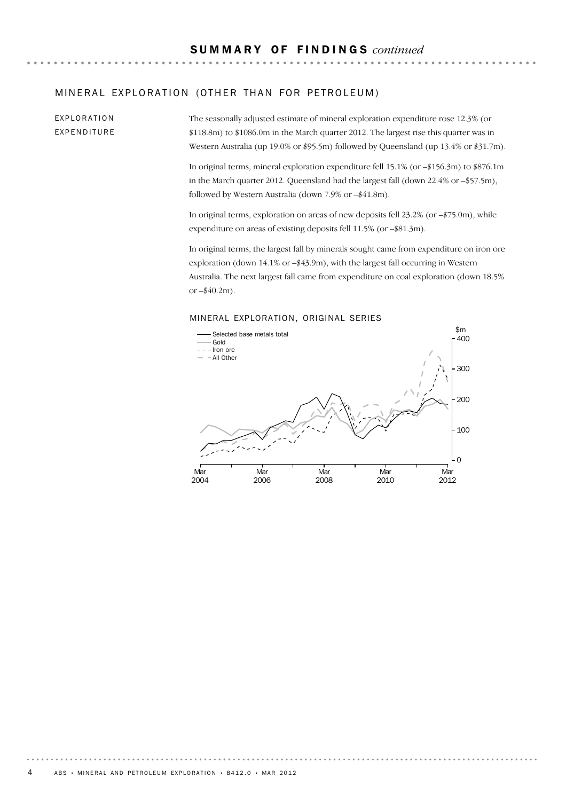### MINERAL EXPLORATION (OTHER THAN FOR PETROLEUM)

EXPLORATION EXPENDITURE The seasonally adjusted estimate of mineral exploration expenditure rose 12.3% (or \$118.8m) to \$1086.0m in the March quarter 2012. The largest rise this quarter was in Western Australia (up 19.0% or \$95.5m) followed by Queensland (up 13.4% or \$31.7m).

In original terms, mineral exploration expenditure fell 15.1% (or –\$156.3m) to \$876.1m in the March quarter 2012. Queensland had the largest fall (down 22.4% or –\$57.5m), followed by Western Australia (down 7.9% or –\$41.8m).

In original terms, exploration on areas of new deposits fell 23.2% (or –\$75.0m), while expenditure on areas of existing deposits fell 11.5% (or –\$81.3m).

In original terms, the largest fall by minerals sought came from expenditure on iron ore exploration (down 14.1% or –\$43.9m), with the largest fall occurring in Western Australia. The next largest fall came from expenditure on coal exploration (down 18.5% or  $-$ \$40.2m).

#### MINERAL EXPLORATION, ORIGINAL SERIES

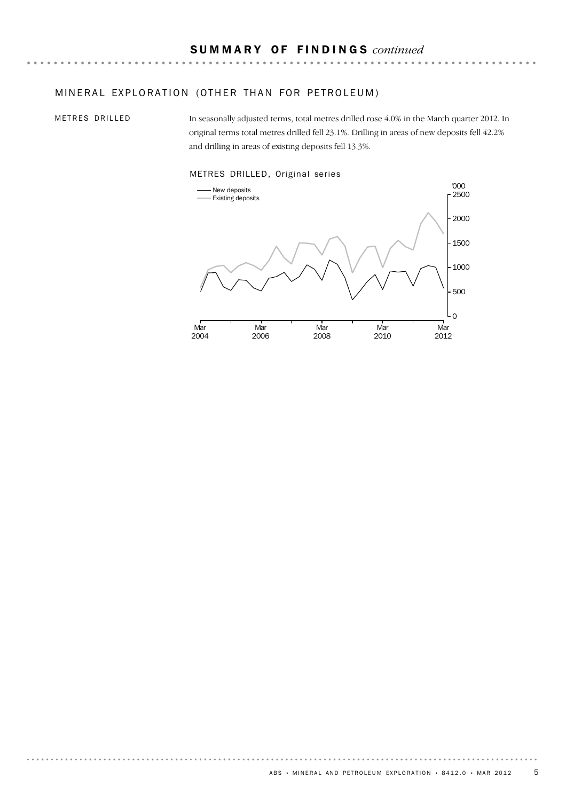### MINERAL EXPLORATION (OTHER THAN FOR PETROLEUM)

METRES DRILLED

In seasonally adjusted terms, total metres drilled rose 4.0% in the March quarter 2012. In original terms total metres drilled fell 23.1%. Drilling in areas of new deposits fell 42.2% and drilling in areas of existing deposits fell 13.3%.



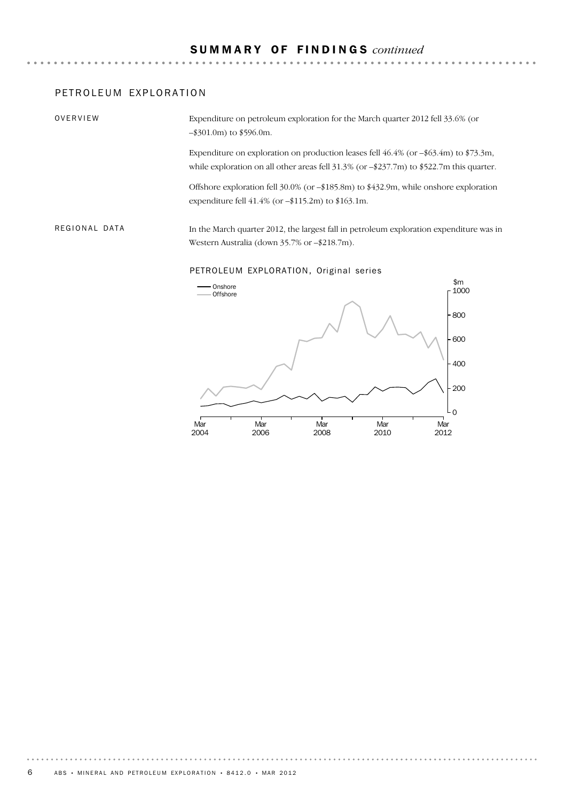### PETROLEUM EXPLORATION

OVERVIEW

Expenditure on petroleum exploration for the March quarter 2012 fell 33.6% (or –\$301.0m) to \$596.0m.

Expenditure on exploration on production leases fell  $46.4\%$  (or  $-$ \$63.4m) to \$73.3m, while exploration on all other areas fell 31.3% (or -\$237.7m) to \$522.7m this quarter.

Offshore exploration fell 30.0% (or –\$185.8m) to \$432.9m, while onshore exploration expenditure fell 41.4% (or –\$115.2m) to \$163.1m.

In the March quarter 2012, the largest fall in petroleum exploration expenditure was in Western Australia (down 35.7% or –\$218.7m). REGIONAL DATA

PETROLEUM EXPLORATION, Original series

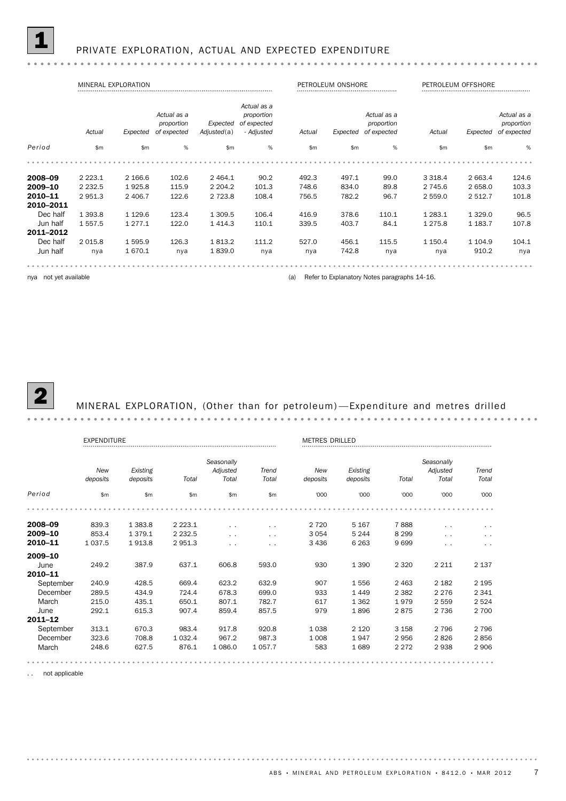|           |               | MINERAL EXPLORATION |                                          |                         |                                                        |        | PETROLEUM ONSHORE |                                          |             | PETROLEUM OFFSHORE |                                          |
|-----------|---------------|---------------------|------------------------------------------|-------------------------|--------------------------------------------------------|--------|-------------------|------------------------------------------|-------------|--------------------|------------------------------------------|
|           | Actual        | Expected            | Actual as a<br>proportion<br>of expected | Expected<br>Adjusted(a) | Actual as a<br>proportion<br>of expected<br>- Adjusted | Actual | Expected          | Actual as a<br>proportion<br>of expected | Actual      | Expected           | Actual as a<br>proportion<br>of expected |
| Period    | $\mathsf{Sm}$ | \$m                 | %                                        | \$m                     | $\%$                                                   | \$m\$  | \$m               | %                                        | \$m         | $\mathsf{Sm}$      | %                                        |
|           |               |                     |                                          |                         |                                                        |        |                   |                                          |             |                    |                                          |
| 2008-09   | 2 2 2 3 . 1   | 2 166.6             | 102.6                                    | 2 4 64.1                | 90.2                                                   | 492.3  | 497.1             | 99.0                                     | 3 3 18.4    | 2 663.4            | 124.6                                    |
| 2009-10   | 2 2 3 2 .5    | 1925.8              | 115.9                                    | 2 2 0 4 .2              | 101.3                                                  | 748.6  | 834.0             | 89.8                                     | 2 745.6     | 2 658.0            | 103.3                                    |
| 2010-11   | 2951.3        | 2 406.7             | 122.6                                    | 2 7 2 3.8               | 108.4                                                  | 756.5  | 782.2             | 96.7                                     | 2 559.0     | 2 5 1 2.7          | 101.8                                    |
| 2010-2011 |               |                     |                                          |                         |                                                        |        |                   |                                          |             |                    |                                          |
| Dec half  | 1 3 9 3.8     | 1 1 2 9.6           | 123.4                                    | 1 309.5                 | 106.4                                                  | 416.9  | 378.6             | 110.1                                    | 1 2 8 3 . 1 | 1 3 2 9 . 0        | 96.5                                     |
| Jun half  | 1 5 5 7 . 5   | 1 2 7 7 . 1         | 122.0                                    | 1414.3                  | 110.1                                                  | 339.5  | 403.7             | 84.1                                     | 1 275.8     | 1 1 8 3.7          | 107.8                                    |
| 2011-2012 |               |                     |                                          |                         |                                                        |        |                   |                                          |             |                    |                                          |
| Dec half  | 2 0 1 5.8     | 1595.9              | 126.3                                    | 1813.2                  | 111.2                                                  | 527.0  | 456.1             | 115.5                                    | 1 150.4     | 1 1 0 4 .9         | 104.1                                    |
| Jun half  | nya           | 1670.1              | nya                                      | 1839.0                  | nya                                                    | nya    | 742.8             | nya                                      | nya         | 910.2              | nya                                      |
|           |               |                     |                                          |                         |                                                        |        |                   |                                          |             |                    |                                          |

nya not yet available **and the contract of the contract of the Contract Contract Contract Contract Contract Contract Contract Contract Contract Contract Contract Contract Contract Contract Contract Contract Contract Contra** 



MINERAL EXPLORATION, (Other than for petroleum) - Expenditure and metres drilled

EXPENDITURE EXPENDITURE EXPENDITURE METRES DRILLED METRES DRILLED *Seasonally Seasonally New Existing Adjusted New Existing Adjusted Trend Trend deposits deposits Total Total Total deposits deposits Total Total Total Period* \$m \$m \$m \$m \$m '000 '000 '000 '000 '000 2008–09 839.3 1 383.8 2 223.1 . . . . 2 720 5 167 7 888 . . . . 2009–10 853.4 1 379.1 2 232.5 . . . . 3 054 5 244 8 299 . . . . **2010–11** 1 037.5 1 913.8 2 951.3 . . . . . . . 3 436 6 263 9 699 . . . . . . 2009–10 June 249.2 387.9 637.1 606.8 593.0 930 1 390 2 320 2 211 2 137 2010–11 September 240.9 428.5 669.4 623.2 632.9 907 1 556 2 463 2 182 2 195 December 289.5 434.9 724.4 678.3 699.0 933 1 449 2 382 2 276 2 341 March 215.0 435.1 650.1 807.1 782.7 617 1 362 1 979 2 559 2 524 June 292.1 615.3 907.4 859.4 857.5 979 1 896 2 875 2 736 2 700 2011–12 September 313.1 670.3 983.4 917.8 920.8 1 038 2 120 3 158 2 796 2 796 December 323.6 708.8 1 032.4 967.2 987.3 1 008 1 947 2 956 2 826 2 856 March 248.6 627.5 876.1 1 086.0 1 057.7 583 1 689 2 272 2 938 2 906 . . . . . . . . . . . . . . . . . . . . . . . . . . 

. . not applicable

. . . . . . . . . .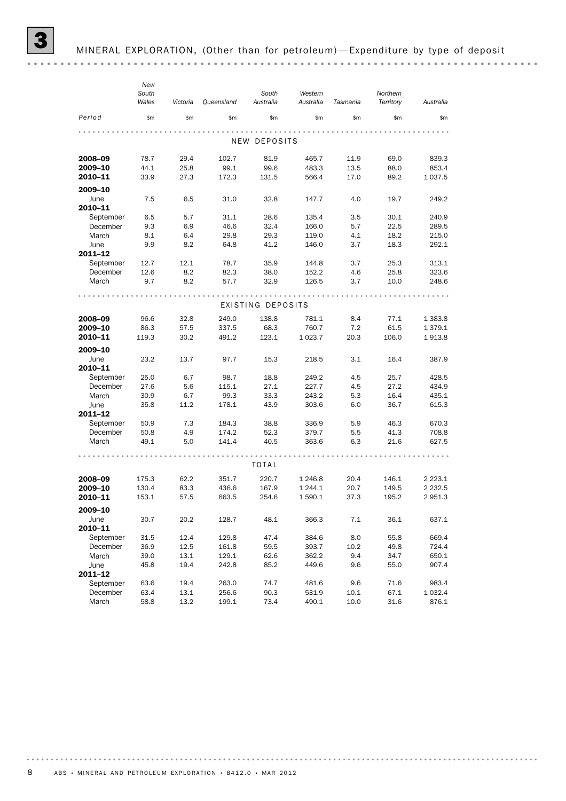|             | New<br>South<br>Wales | Victoria | Queensland | South<br>Australia | Western<br>Australia | Tasmania | Northern<br>Territory | Australia   |
|-------------|-----------------------|----------|------------|--------------------|----------------------|----------|-----------------------|-------------|
| Period      | \$m                   | \$m\$    | \$m\$      | \$m\$              | \$m                  | \$m\$    | \$m                   | \$m         |
|             |                       |          |            |                    |                      |          |                       |             |
|             |                       |          |            | NEW DEPOSITS       |                      |          |                       |             |
| 2008-09     | 78.7                  | 29.4     | 102.7      | 81.9               | 465.7                | 11.9     | 69.0                  | 839.3       |
| 2009-10     | 44.1                  | 25.8     | 99.1       | 99.6               | 483.3                | 13.5     | 88.0                  | 853.4       |
| 2010-11     | 33.9                  | 27.3     | 172.3      | 131.5              | 566.4                | 17.0     | 89.2                  | 1 0 3 7 .5  |
| 2009-10     |                       |          |            |                    |                      |          |                       |             |
| June        | 7.5                   | 6.5      | 31.0       | 32.8               | 147.7                | 4.0      | 19.7                  | 249.2       |
| 2010-11     |                       |          |            |                    |                      |          |                       |             |
| September   | 6.5                   | 5.7      | 31.1       | 28.6               | 135.4                | 3.5      | 30.1                  | 240.9       |
| December    | 9.3                   | 6.9      | 46.6       | 32.4               | 166.0                | 5.7      | 22.5                  | 289.5       |
| March       | 8.1                   | 6.4      | 29.8       | 29.3               | 119.0                | 4.1      | 18.2                  | 215.0       |
| June        | 9.9                   | 8.2      | 64.8       | 41.2               | 146.0                | 3.7      | 18.3                  | 292.1       |
| 2011-12     |                       |          |            |                    |                      |          |                       |             |
| September   | 12.7                  | 12.1     | 78.7       | 35.9               | 144.8                | 3.7      | 25.3                  | 313.1       |
| December    | 12.6                  | 8.2      | 82.3       | 38.0               | 152.2                | 4.6      | 25.8                  | 323.6       |
| March       | 9.7                   | 8.2      | 57.7       | 32.9               | 126.5                | 3.7      | 10.0                  | 248.6       |
|             |                       |          |            |                    |                      |          |                       |             |
|             |                       |          |            | EXISTING DEPOSITS  |                      |          |                       |             |
| 2008-09     | 96.6                  | 32.8     | 249.0      | 138.8              | 781.1                | 8.4      | 77.1                  | 1 383.8     |
| 2009-10     | 86.3                  | 57.5     | 337.5      | 68.3               | 760.7                | 7.2      | 61.5                  | 1 3 7 9 . 1 |
| 2010-11     | 119.3                 | 30.2     | 491.2      | 123.1              | 1 0 23.7             | 20.3     | 106.0                 | 1913.8      |
| 2009-10     |                       |          |            |                    |                      |          |                       |             |
| June        | 23.2                  | 13.7     | 97.7       | 15.3               | 218.5                | 3.1      | 16.4                  | 387.9       |
| 2010-11     |                       |          |            |                    |                      |          |                       |             |
| September   | 25.0                  | 6.7      | 98.7       | 18.8               | 249.2                | 4.5      | 25.7                  | 428.5       |
| December    | 27.6                  | 5.6      | 115.1      | 27.1               | 227.7                | 4.5      | 27.2                  | 434.9       |
| March       | 30.9                  | 6.7      | 99.3       | 33.3               | 243.2                | 5.3      | 16.4                  | 435.1       |
| June        | 35.8                  | 11.2     | 178.1      | 43.9               | 303.6                | 6.0      | 36.7                  | 615.3       |
| 2011-12     |                       |          |            |                    |                      |          |                       |             |
| September   | 50.9                  | 7.3      | 184.3      | 38.8               | 336.9                | 5.9      | 46.3                  | 670.3       |
| December    | 50.8                  | 4.9      | 174.2      | 52.3               | 379.7                | 5.5      | 41.3                  | 708.8       |
| March       | 49.1                  | 5.0      | 141.4      | 40.5               | 363.6                | 6.3      | 21.6                  | 627.5       |
|             |                       |          |            |                    |                      |          |                       |             |
|             |                       |          |            | TOTAL              |                      |          |                       |             |
| 2008-09     | 175.3                 | 62.2     | 351.7      | 220.7              | 1 2 4 6.8            | 20.4     | 146.1                 | 2 2 2 3 . 1 |
| 2009-10     | 130.4                 | 83.3     | 436.6      | 167.9              | 1 244.1              | 20.7     | 149.5                 | 2 2 3 2.5   |
| 2010-11     | 153.1                 | 57.5     | 663.5      | 254.6              | 1 590.1              | 37.3     | 195.2                 | 2 951.3     |
| 2009-10     |                       |          |            |                    |                      |          |                       |             |
| June        | 30.7                  | 20.2     | 128.7      | 48.1               | 366.3                | 7.1      | 36.1                  | 637.1       |
| 2010-11     |                       |          |            |                    |                      |          |                       |             |
| September   | 31.5                  | 12.4     | 129.8      | 47.4               | 384.6                | 8.0      | 55.8                  | 669.4       |
| December    | 36.9                  | 12.5     | 161.8      | 59.5               | 393.7                | 10.2     | 49.8                  | 724.4       |
| March       | 39.0                  | 13.1     | 129.1      | 62.6               | 362.2                | 9.4      | 34.7                  | 650.1       |
| June        | 45.8                  | 19.4     | 242.8      | 85.2               | 449.6                | 9.6      | 55.0                  | 907.4       |
| $2011 - 12$ |                       |          |            |                    |                      |          |                       |             |
| September   | 63.6                  | 19.4     | 263.0      | 74.7               | 481.6                | 9.6      | 71.6                  | 983.4       |
| December    | 63.4                  | 13.1     | 256.6      | 90.3               | 531.9                | 10.1     | 67.1                  | 1 0 3 2.4   |
| March       | 58.8                  | 13.2     | 199.1      | 73.4               | 490.1                | 10.0     | 31.6                  | 876.1       |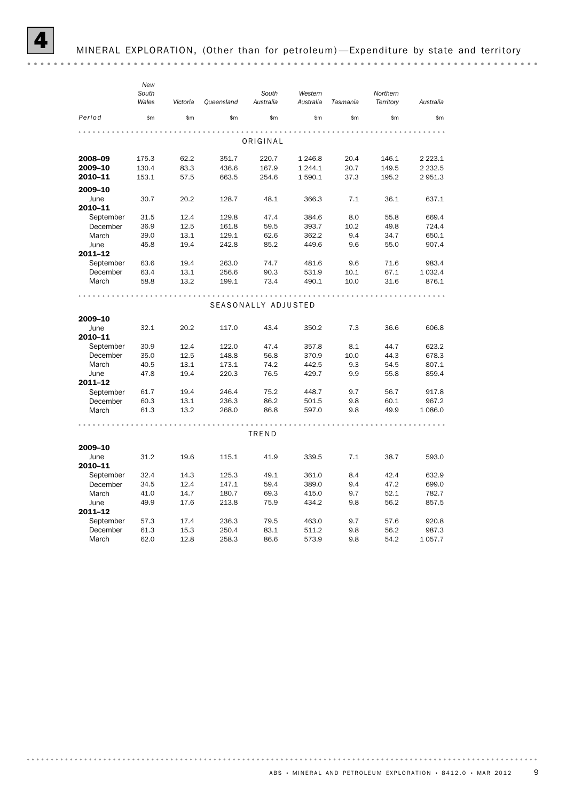|           | New   |          |                   |                     |           |          |           |             |
|-----------|-------|----------|-------------------|---------------------|-----------|----------|-----------|-------------|
|           | South |          |                   | South               | Western   |          | Northern  |             |
|           | Wales | Victoria | <b>Queensland</b> | Australia           | Australia | Tasmania | Territory | Australia   |
| Period    | \$m\$ | \$m      | \$m               | \$m\$               | \$m\$     | \$m      | \$m\$     | \$m         |
|           |       |          |                   |                     |           |          |           |             |
|           |       |          |                   | ORIGINAL            |           |          |           |             |
| 2008-09   | 175.3 | 62.2     | 351.7             | 220.7               | 1 246.8   | 20.4     | 146.1     | 2 2 2 3 . 1 |
| 2009-10   | 130.4 | 83.3     | 436.6             | 167.9               | 1 244.1   | 20.7     | 149.5     | 2 2 3 2 .5  |
| 2010-11   | 153.1 | 57.5     | 663.5             | 254.6               | 1 590.1   | 37.3     | 195.2     | 2951.3      |
| 2009-10   |       |          |                   |                     |           |          |           |             |
| June      | 30.7  | 20.2     | 128.7             | 48.1                | 366.3     | 7.1      | 36.1      | 637.1       |
| 2010-11   |       |          |                   |                     |           |          |           |             |
| September | 31.5  | 12.4     | 129.8             | 47.4                | 384.6     | 8.0      | 55.8      | 669.4       |
| December  | 36.9  | 12.5     | 161.8             | 59.5                | 393.7     | 10.2     | 49.8      | 724.4       |
| March     | 39.0  | 13.1     | 129.1             | 62.6                | 362.2     | 9.4      | 34.7      | 650.1       |
| June      | 45.8  | 19.4     | 242.8             | 85.2                | 449.6     | 9.6      | 55.0      | 907.4       |
| 2011-12   |       |          |                   |                     |           |          |           |             |
| September | 63.6  | 19.4     | 263.0             | 74.7                | 481.6     | 9.6      | 71.6      | 983.4       |
| December  | 63.4  | 13.1     | 256.6             | 90.3                | 531.9     | 10.1     | 67.1      | 1 0 3 2.4   |
| March     | 58.8  | 13.2     | 199.1             | 73.4                | 490.1     | 10.0     | 31.6      | 876.1       |
|           |       |          |                   |                     |           |          |           |             |
|           |       |          |                   | SEASONALLY ADJUSTED |           |          |           |             |
| 2009-10   |       |          |                   |                     |           |          |           |             |
| June      | 32.1  | 20.2     | 117.0             | 43.4                | 350.2     | 7.3      | 36.6      | 606.8       |
| 2010-11   |       |          |                   |                     |           |          |           |             |
| September | 30.9  | 12.4     | 122.0             | 47.4                | 357.8     | 8.1      | 44.7      | 623.2       |
| December  | 35.0  | 12.5     | 148.8             | 56.8                | 370.9     | 10.0     | 44.3      | 678.3       |
| March     | 40.5  | 13.1     | 173.1             | 74.2                | 442.5     | 9.3      | 54.5      | 807.1       |
| June      | 47.8  | 19.4     | 220.3             | 76.5                | 429.7     | 9.9      | 55.8      | 859.4       |
| 2011-12   |       |          |                   |                     |           |          |           |             |
| September | 61.7  | 19.4     | 246.4             | 75.2                | 448.7     | 9.7      | 56.7      | 917.8       |
| December  | 60.3  | 13.1     | 236.3             | 86.2                | 501.5     | 9.8      | 60.1      | 967.2       |
| March     | 61.3  | 13.2     | 268.0             | 86.8                | 597.0     | 9.8      | 49.9      | 1 0 8 6.0   |
|           |       |          |                   |                     |           |          |           |             |
|           |       |          |                   | TREND               |           |          |           |             |
| 2009-10   |       |          |                   |                     |           |          |           |             |
| June      | 31.2  | 19.6     | 115.1             | 41.9                | 339.5     | 7.1      | 38.7      | 593.0       |
| 2010-11   |       |          |                   |                     |           |          |           |             |
| September | 32.4  | 14.3     | 125.3             | 49.1                | 361.0     | 8.4      | 42.4      | 632.9       |
| December  | 34.5  | 12.4     | 147.1             | 59.4                | 389.0     | 9.4      | 47.2      | 699.0       |
| March     | 41.0  | 14.7     | 180.7             | 69.3                | 415.0     | 9.7      | 52.1      | 782.7       |
| June      | 49.9  | 17.6     | 213.8             | 75.9                | 434.2     | 9.8      | 56.2      | 857.5       |
| 2011-12   |       |          |                   |                     |           |          |           |             |
| September | 57.3  | 17.4     | 236.3             | 79.5                | 463.0     | 9.7      | 57.6      | 920.8       |
| December  | 61.3  | 15.3     | 250.4             | 83.1                | 511.2     | 9.8      | 56.2      | 987.3       |
| March     | 62.0  | 12.8     | 258.3             | 86.6                | 573.9     | 9.8      | 54.2      | 1057.7      |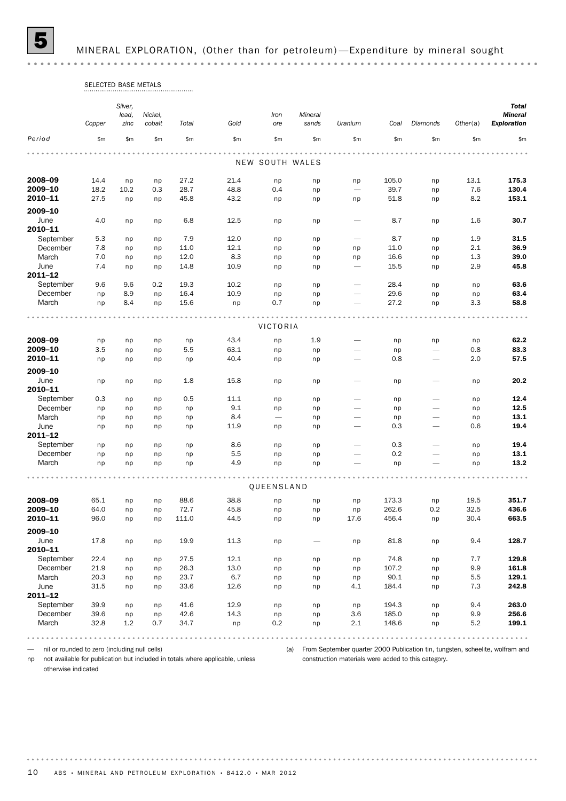5 MINERAL EXPLORATION, (Other than for petroleum) —Expenditure by mineral sought

|             | <b>SELECTED BASE METALS</b> |         |         |       |      |                          |                   |                          |          |                          |          |                    |
|-------------|-----------------------------|---------|---------|-------|------|--------------------------|-------------------|--------------------------|----------|--------------------------|----------|--------------------|
|             |                             | Silver, |         |       |      |                          |                   |                          |          |                          |          | <b>Total</b>       |
|             |                             | lead,   | Nickel, |       |      | Iron                     | Mineral           |                          |          |                          |          | <b>Mineral</b>     |
|             | Copper                      | zinc    | cobalt  | Total | Gold | ore                      | sands             | Uranium                  | Coal     | <b>Diamonds</b>          | Other(a) | <b>Exploration</b> |
| Period      | \$m\$                       | \$m     | \$m\$   | \$m   | \$m  | \$m\$                    | \$m               | \$m                      | \$m      | \$m\$                    | \$m      | \$m                |
|             |                             |         |         |       |      |                          |                   |                          |          |                          |          |                    |
|             |                             |         |         |       |      | NEW SOUTH WALES          |                   |                          |          |                          |          |                    |
| 2008-09     | 14.4                        | np      | np      | 27.2  | 21.4 | np                       | np                | np                       | 105.0    | np                       | 13.1     | 175.3              |
| 2009-10     | 18.2                        | 10.2    | 0.3     | 28.7  | 48.8 | 0.4                      | np                |                          | 39.7     | np                       | 7.6      | 130.4              |
| 2010-11     | 27.5                        | np      | np      | 45.8  | 43.2 | np                       | np                | np                       | 51.8     | np                       | 8.2      | 153.1              |
| 2009-10     |                             |         |         |       |      |                          |                   |                          |          |                          |          |                    |
| June        | 4.0                         | np      | np      | 6.8   | 12.5 | np                       | np                |                          | 8.7      | np                       | 1.6      | 30.7               |
| 2010-11     |                             |         |         |       |      |                          |                   |                          |          |                          |          |                    |
| September   | 5.3                         | np      | np      | 7.9   | 12.0 | np                       | np                | $\overline{\phantom{0}}$ | 8.7      | np                       | 1.9      | 31.5               |
| December    | 7.8                         | np      | np      | 11.0  | 12.1 | np                       | np                | np                       | 11.0     | np                       | 2.1      | 36.9               |
| March       | 7.0                         | np      | np      | 12.0  | 8.3  | np                       | np                | np                       | 16.6     | np                       | 1.3      | 39.0               |
| June        | 7.4                         | np      | np      | 14.8  | 10.9 | np                       | np                |                          | 15.5     | np                       | 2.9      | 45.8               |
| $2011 - 12$ |                             |         |         |       |      |                          |                   |                          |          |                          |          |                    |
| September   | 9.6                         | 9.6     | 0.2     | 19.3  | 10.2 | np                       | np                | $\overline{\phantom{0}}$ | 28.4     | np                       | np       | 63.6               |
| December    | np                          | 8.9     | np      | 16.4  | 10.9 | np                       | np                | $\overline{\phantom{0}}$ | 29.6     | np                       | np       | 63.4               |
| March       | np                          | 8.4     | np      | 15.6  | np   | 0.7                      | np                |                          | 27.2     | np                       | 3.3      | 58.8               |
|             |                             |         |         |       |      |                          |                   |                          |          |                          |          |                    |
|             |                             |         |         |       |      | VICTORIA                 |                   |                          |          |                          |          |                    |
| 2008-09     | np                          | np      | np      | np    | 43.4 | np                       | 1.9               |                          | np       | np                       | np       | 62.2               |
| 2009-10     | 3.5                         | np      | np      | 5.5   | 63.1 | np                       | np                |                          | np       | $\overline{\phantom{0}}$ | 0.8      | 83.3               |
| 2010-11     | np                          | np      | np      | np    | 40.4 | np                       | np                |                          | 0.8      |                          | 2.0      | 57.5               |
| 2009-10     |                             |         |         |       |      |                          |                   |                          |          |                          |          |                    |
| June        | np                          | np      | np      | 1.8   | 15.8 | np                       | np                |                          | np       |                          | np       | 20.2               |
| 2010-11     |                             |         |         |       |      |                          |                   |                          |          |                          |          |                    |
| September   | 0.3                         | np      | np      | 0.5   | 11.1 | np                       | np                | $\overline{\phantom{0}}$ | np       | -                        | np       | 12.4               |
| December    | np                          | np      | np      | np    | 9.1  | np                       | np                | $\overline{\phantom{0}}$ | np       |                          | np       | 12.5               |
| March       | np                          | np      | np      | np    | 8.4  | $\overline{\phantom{m}}$ | np                |                          | np       |                          | np       | 13.1               |
| June        | np                          | np      | np      | np    | 11.9 | np                       | np                |                          | 0.3      |                          | 0.6      | 19.4               |
| $2011 - 12$ |                             |         |         |       |      |                          |                   |                          |          |                          |          |                    |
| September   | np                          | np      | np      | np    | 8.6  | np                       | np                | $\overline{\phantom{0}}$ | 0.3      |                          | np       | 19.4               |
| December    | np                          | np      | np      | np    | 5.5  | np                       | np                | -                        | 0.2      |                          | np       | 13.1               |
| March       | np                          | np      | np      | np    | 4.9  | np                       | np                |                          | np       |                          | np       | 13.2               |
|             |                             |         |         |       |      |                          |                   |                          |          |                          |          |                    |
|             |                             |         |         |       |      | QUEENSLAND               |                   |                          |          |                          |          |                    |
|             |                             |         |         |       |      |                          |                   |                          |          |                          |          |                    |
| 2008-09     | 65.1                        | np      | np      | 88.6  | 38.8 | np                       | np                | np                       | 173.3    | np                       | 19.5     | 351.7              |
| 2009-10     | 64.0                        | np      | np      | 72.7  | 45.8 | np                       | np                | np                       | 262.6    | $0.2\,$                  | 32.5     | 436.6              |
| 2010-11     | 96.0                        | np      | np      | 111.0 | 44.5 | np                       | np                | 17.6                     | 456.4    | np                       | 30.4     | 663.5              |
| 2009-10     |                             |         |         |       |      |                          |                   |                          |          |                          |          |                    |
| June        | 17.8                        | np      | np      | 19.9  | 11.3 | np                       | $\qquad \qquad -$ | np                       | 81.8     | np                       | 9.4      | 128.7              |
| 2010-11     |                             |         |         |       |      |                          |                   |                          |          |                          |          |                    |
| September   | 22.4                        | np      | np      | 27.5  | 12.1 | np                       | np                | np                       | 74.8     | np                       | $7.7\,$  | 129.8              |
| December    | 21.9                        | np      | np      | 26.3  | 13.0 | np                       | np                | np                       | 107.2    | np                       | 9.9      | 161.8              |
| March       | 20.3                        | np      | np      | 23.7  | 6.7  | np                       | np                | np                       | $90.1\,$ | np                       | 5.5      | 129.1              |
| June        | 31.5                        | np      | np      | 33.6  | 12.6 | np                       | np                | 4.1                      | 184.4    | np                       | 7.3      | 242.8              |
| 2011-12     |                             |         |         |       |      |                          |                   |                          |          |                          |          |                    |
| September   | 39.9                        | np      | np      | 41.6  | 12.9 | np                       | np                | np                       | 194.3    | np                       | 9.4      | 263.0              |
| December    | 39.6                        | np      | np      | 42.6  | 14.3 | np                       | np                | $3.6\,$                  | 185.0    | np                       | 9.9      | 256.6              |
| March       | 32.8                        | 1.2     | 0.7     | 34.7  | np   | 0.2                      | np                | 2.1                      | 148.6    | np                       | 5.2      | 199.1              |
|             |                             |         |         |       |      |                          |                   |                          |          |                          |          |                    |

— nil or rounded to zero (including null cells)

np not available for publication but included in totals where applicable, unless

(a) From September quarter 2000 Publication tin, tungsten, scheelite, wolfram and construction materials were added to this category.

otherwise indicated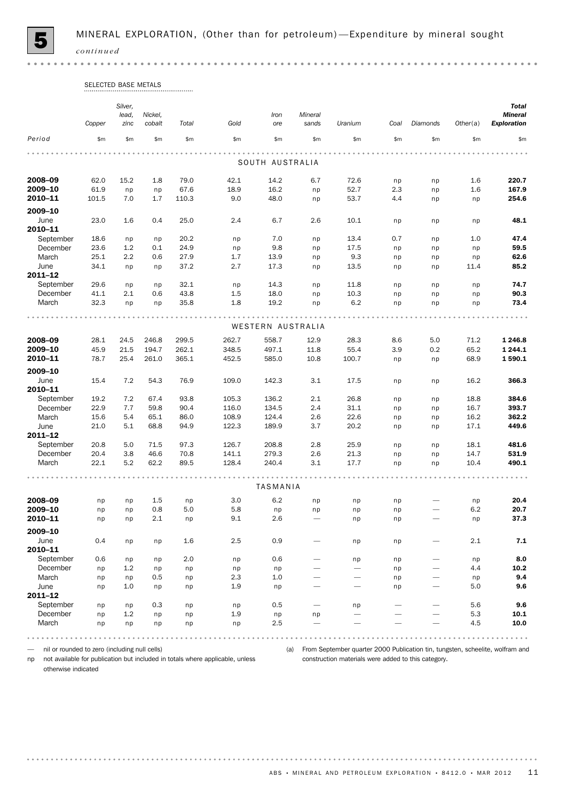

 $\alpha$  .  $\alpha$ 

|                    | SELECTED BASE METALS |                  |            |           |            |                   |                                |                          |          |                          |           |                                |
|--------------------|----------------------|------------------|------------|-----------|------------|-------------------|--------------------------------|--------------------------|----------|--------------------------|-----------|--------------------------------|
|                    |                      | Silver,<br>lead, | Nickel,    |           |            | Iron              | Mineral                        |                          |          |                          |           | <b>Total</b><br><b>Mineral</b> |
|                    | Copper               | zinc             | cobalt     | Total     | Gold       | ore               | sands                          | Uranium                  | Coal     | Diamonds                 | Other(a)  | <b>Exploration</b>             |
| Period             | \$m\$                | \$m              | \$m        | \$m       | \$m\$      | \$m\$             | \$m\$                          | \$m                      | \$m\$    | \$m\$                    | \$m\$     | \$m                            |
|                    |                      |                  |            |           |            |                   |                                |                          |          |                          |           |                                |
|                    |                      |                  |            |           |            | SOUTH AUSTRALIA   |                                |                          |          |                          |           |                                |
| 2008-09            | 62.0                 | 15.2             | 1.8        | 79.0      | 42.1       | 14.2              | 6.7                            | 72.6                     | np       | np                       | 1.6       | 220.7                          |
| 2009-10            | 61.9                 | np               | np         | 67.6      | 18.9       | 16.2              | np                             | 52.7                     | 2.3      | np                       | 1.6       | 167.9                          |
| 2010-11            | 101.5                | 7.0              | 1.7        | 110.3     | 9.0        | 48.0              | np                             | 53.7                     | 4.4      | np                       | np        | 254.6                          |
| 2009-10            |                      |                  |            |           |            |                   |                                |                          |          |                          |           |                                |
| June               | 23.0                 | 1.6              | 0.4        | 25.0      | 2.4        | 6.7               | 2.6                            | 10.1                     | np       | np                       | np        | 48.1                           |
| 2010-11            |                      |                  |            |           |            |                   |                                |                          |          |                          |           |                                |
| September          | 18.6                 | np               | np         | 20.2      | np         | 7.0               | np                             | 13.4                     | 0.7      | np                       | 1.0       | 47.4                           |
| December           | 23.6                 | 1.2              | 0.1        | 24.9      | np         | 9.8               | np                             | 17.5                     | np       | np                       | np        | 59.5                           |
| March              | 25.1                 | 2.2              | 0.6        | 27.9      | 1.7        | 13.9              | np                             | 9.3                      | np       | np                       | np        | 62.6                           |
| June               | 34.1                 | np               | np         | 37.2      | 2.7        | 17.3              | np                             | 13.5                     | np       | np                       | 11.4      | 85.2                           |
| 2011-12            |                      |                  |            |           |            |                   |                                |                          |          |                          |           |                                |
| September          | 29.6                 | np               | np         | 32.1      | np         | 14.3              | np                             | 11.8                     | np       | np                       | np        | 74.7                           |
| December           | 41.1                 | 2.1              | 0.6        | 43.8      | 1.5        | 18.0              | np                             | 10.3                     | np       | np                       | np        | 90.3                           |
| March              | 32.3                 | np               | np         | 35.8      | 1.8        | 19.2              | np                             | 6.2                      | np       | np                       | np        | 73.4                           |
|                    |                      |                  |            |           |            | WESTERN AUSTRALIA |                                |                          |          |                          |           |                                |
| 2008-09            | 28.1                 | 24.5             | 246.8      | 299.5     | 262.7      | 558.7             | 12.9                           | 28.3                     | 8.6      | 5.0                      | 71.2      | 1 246.8                        |
| 2009-10            | 45.9                 | 21.5             | 194.7      | 262.1     | 348.5      | 497.1             | 11.8                           | 55.4                     | 3.9      | 0.2                      | 65.2      | 1 244.1                        |
| 2010-11            | 78.7                 | 25.4             | 261.0      | 365.1     | 452.5      | 585.0             | 10.8                           | 100.7                    | np       | np                       | 68.9      | 1590.1                         |
| 2009-10            |                      |                  |            |           |            |                   |                                |                          |          |                          |           |                                |
| June               | 15.4                 | 7.2              | 54.3       | 76.9      | 109.0      | 142.3             | 3.1                            | 17.5                     | np       | np                       | 16.2      | 366.3                          |
| 2010-11            |                      |                  |            |           |            |                   |                                |                          |          |                          |           |                                |
| September          | 19.2                 | 7.2              | 67.4       | 93.8      | 105.3      | 136.2             | 2.1                            | 26.8                     | np       | np                       | 18.8      | 384.6                          |
| December           | 22.9                 | 7.7              | 59.8       | 90.4      | 116.0      | 134.5             | 2.4                            | 31.1                     | np       | np                       | 16.7      | 393.7                          |
| March              | 15.6                 | 5.4              | 65.1       | 86.0      | 108.9      | 124.4             | 2.6                            | 22.6                     | np       | np                       | 16.2      | 362.2                          |
| June               | 21.0                 | 5.1              | 68.8       | 94.9      | 122.3      | 189.9             | 3.7                            | 20.2                     | np       | np                       | 17.1      | 449.6                          |
| 2011-12            |                      |                  |            |           |            |                   |                                |                          |          |                          |           |                                |
| September          | 20.8                 | 5.0              | 71.5       | 97.3      | 126.7      | 208.8             | 2.8                            | 25.9                     | np       | np                       | 18.1      | 481.6                          |
| December           | 20.4                 | 3.8              | 46.6       | 70.8      | 141.1      | 279.3             | 2.6                            | 21.3                     | np       | np                       | 14.7      | 531.9                          |
| March              | 22.1                 | 5.2              | 62.2       | 89.5      | 128.4      | 240.4             | 3.1                            | 17.7                     | np       | np                       | 10.4      | 490.1                          |
|                    |                      |                  |            |           |            | <b>TASMANIA</b>   |                                |                          |          |                          |           |                                |
|                    |                      |                  |            |           |            |                   |                                |                          |          |                          |           |                                |
| 2008-09<br>2009-10 | np                   | np               | 1.5        | np<br>5.0 | 3.0<br>5.8 | 6.2               | np                             | np                       | np       |                          | np<br>6.2 | 20.4<br>20.7                   |
| 2010-11            | np<br>np             | np<br>np         | 0.8<br>2.1 | np        | 9.1        | np<br>2.6         | np<br>$\overline{\phantom{0}}$ | np<br>np                 | np<br>np |                          | np        | 37.3                           |
| 2009-10            |                      |                  |            |           |            |                   |                                |                          |          |                          |           |                                |
| June               | 0.4                  |                  |            | 1.6       | 2.5        | 0.9               |                                |                          |          |                          | 2.1       | $\bf 7.1$                      |
| 2010-11            |                      | np               | np         |           |            |                   |                                | np                       | np       |                          |           |                                |
| September          | 0.6                  | np               | np         | 2.0       | np         | 0.6               |                                | np                       | np       |                          | np        | 8.0                            |
| December           | np                   | 1.2              | np         | np        | np         | np                |                                | $\overline{\phantom{0}}$ | np       | $\overline{\phantom{0}}$ | 4.4       | 10.2                           |
| March              | np                   | np               | 0.5        | np        | 2.3        | 1.0               |                                |                          | np       |                          | np        | 9.4                            |
| June               | np                   | 1.0              | np         | np        | 1.9        | np                |                                |                          | np       |                          | 5.0       | 9.6                            |
| $2011 - 12$        |                      |                  |            |           |            |                   |                                |                          |          |                          |           |                                |
| September          | np                   | np               | 0.3        | np        | np         | 0.5               | $\overline{\phantom{0}}$       | np                       |          |                          | 5.6       | 9.6                            |
| December           | np                   | 1.2              | np         | np        | 1.9        | np                | np                             | $\overline{\phantom{0}}$ |          |                          | 5.3       | 10.1                           |
| March              | np                   | np               | np         | np        | np         | 2.5               |                                |                          |          |                          | 4.5       | 10.0                           |
|                    |                      |                  |            |           |            |                   |                                |                          |          |                          |           |                                |

— nil or rounded to zero (including null cells)

np not available for publication but included in totals where applicable, unless

(a) From September quarter 2000 Publication tin, tungsten, scheelite, wolfram and construction materials were added to this category.

otherwise indicated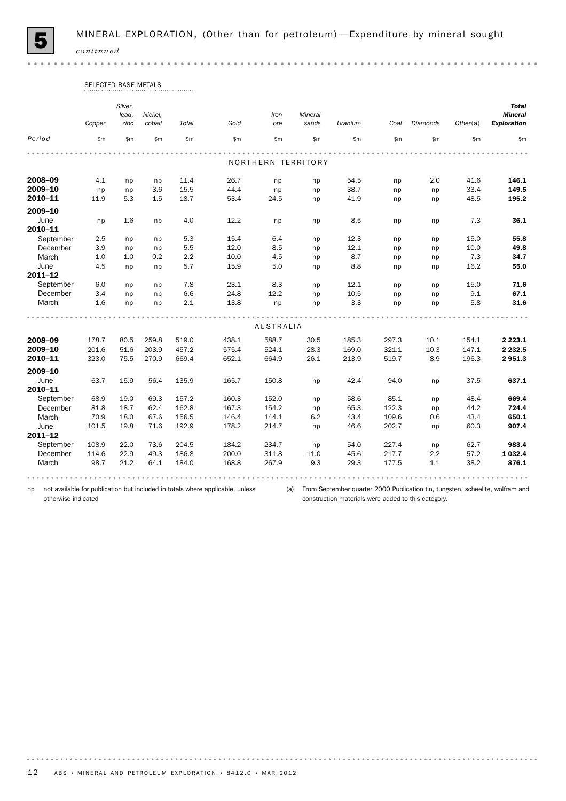

 $0.0000$ 

|             | Copper | Silver,<br>lead.<br>zinc | Nickel,<br>cobalt | Total | Gold  | Iron<br>ore      | Mineral<br>sands   | Uranium | Coal  | Diamonds | Other(a) | <b>Total</b><br><b>Mineral</b><br>Exploration |
|-------------|--------|--------------------------|-------------------|-------|-------|------------------|--------------------|---------|-------|----------|----------|-----------------------------------------------|
| Period      | \$m\$  | \$m                      | \$m\$             | \$m\$ | \$m\$ | \$m\$            | \$m\$              | \$m\$   | \$m\$ | \$m\$    | \$m\$    | \$m                                           |
|             |        |                          |                   |       |       |                  |                    |         |       |          |          |                                               |
|             |        |                          |                   |       |       |                  | NORTHERN TERRITORY |         |       |          |          |                                               |
| 2008-09     | 4.1    | np                       | np                | 11.4  | 26.7  | np               | np                 | 54.5    | np    | 2.0      | 41.6     | 146.1                                         |
| 2009-10     | np     | np                       | 3.6               | 15.5  | 44.4  | np               | np                 | 38.7    | np    | np       | 33.4     | 149.5                                         |
| 2010-11     | 11.9   | 5.3                      | 1.5               | 18.7  | 53.4  | 24.5             | np                 | 41.9    | np    | np       | 48.5     | 195.2                                         |
| 2009-10     |        |                          |                   |       |       |                  |                    |         |       |          |          |                                               |
| June        | np     | 1.6                      | np                | 4.0   | 12.2  | np               | np                 | 8.5     | np    | np       | 7.3      | 36.1                                          |
| 2010-11     |        |                          |                   |       |       |                  |                    |         |       |          |          |                                               |
| September   | 2.5    | np                       | np                | 5.3   | 15.4  | 6.4              | np                 | 12.3    | np    | np       | 15.0     | 55.8                                          |
| December    | 3.9    | np                       | np                | 5.5   | 12.0  | 8.5              | np                 | 12.1    | np    | np       | 10.0     | 49.8                                          |
| March       | 1.0    | 1.0                      | 0.2               | 2.2   | 10.0  | 4.5              | np                 | 8.7     | np    | np       | 7.3      | 34.7                                          |
| June        | 4.5    | np                       | np                | 5.7   | 15.9  | 5.0              | np                 | 8.8     | np    | np       | 16.2     | 55.0                                          |
| 2011-12     |        |                          |                   |       |       |                  |                    |         |       |          |          |                                               |
| September   | 6.0    | np                       | np                | 7.8   | 23.1  | 8.3              | np                 | 12.1    | np    | np       | 15.0     | 71.6                                          |
| December    | 3.4    | np                       | np                | 6.6   | 24.8  | 12.2             | np                 | 10.5    | np    | np       | 9.1      | 67.1                                          |
| March       | 1.6    | np                       | np                | 2.1   | 13.8  | np               | np                 | 3.3     | np    | np       | 5.8      | 31.6                                          |
|             |        |                          |                   |       |       |                  |                    |         |       |          |          |                                               |
|             |        |                          |                   |       |       | <b>AUSTRALIA</b> |                    |         |       |          |          |                                               |
| 2008-09     | 178.7  | 80.5                     | 259.8             | 519.0 | 438.1 | 588.7            | 30.5               | 185.3   | 297.3 | 10.1     | 154.1    | 2 2 2 3 . 1                                   |
| 2009-10     | 201.6  | 51.6                     | 203.9             | 457.2 | 575.4 | 524.1            | 28.3               | 169.0   | 321.1 | 10.3     | 147.1    | 2 2 3 2 .5                                    |
| 2010-11     | 323.0  | 75.5                     | 270.9             | 669.4 | 652.1 | 664.9            | 26.1               | 213.9   | 519.7 | 8.9      | 196.3    | 2951.3                                        |
| 2009-10     |        |                          |                   |       |       |                  |                    |         |       |          |          |                                               |
| June        | 63.7   | 15.9                     | 56.4              | 135.9 | 165.7 | 150.8            | np                 | 42.4    | 94.0  | np       | 37.5     | 637.1                                         |
| 2010-11     |        |                          |                   |       |       |                  |                    |         |       |          |          |                                               |
| September   | 68.9   | 19.0                     | 69.3              | 157.2 | 160.3 | 152.0            | np                 | 58.6    | 85.1  | np       | 48.4     | 669.4                                         |
| December    | 81.8   | 18.7                     | 62.4              | 162.8 | 167.3 | 154.2            | np                 | 65.3    | 122.3 | np       | 44.2     | 724.4                                         |
| March       | 70.9   | 18.0                     | 67.6              | 156.5 | 146.4 | 144.1            | 6.2                | 43.4    | 109.6 | 0.6      | 43.4     | 650.1                                         |
| June        | 101.5  | 19.8                     | 71.6              | 192.9 | 178.2 | 214.7            | np                 | 46.6    | 202.7 | np       | 60.3     | 907.4                                         |
| $2011 - 12$ |        |                          |                   |       |       |                  |                    |         |       |          |          |                                               |
| September   | 108.9  | 22.0                     | 73.6              | 204.5 | 184.2 | 234.7            | np                 | 54.0    | 227.4 | np       | 62.7     | 983.4                                         |
| December    | 114.6  | 22.9                     | 49.3              | 186.8 | 200.0 | 311.8            | 11.0               | 45.6    | 217.7 | 2.2      | 57.2     | 1 0 3 2.4                                     |
| March       | 98.7   | 21.2                     | 64.1              | 184.0 | 168.8 | 267.9            | 9.3                | 29.3    | 177.5 | 1.1      | 38.2     | 876.1                                         |

# SELECTED BASE METALS

np not available for publication but included in totals where applicable, unless otherwise indicated

(a) From September quarter 2000 Publication tin, tungsten, scheelite, wolfram and construction materials were added to this category.

. . . . . . . .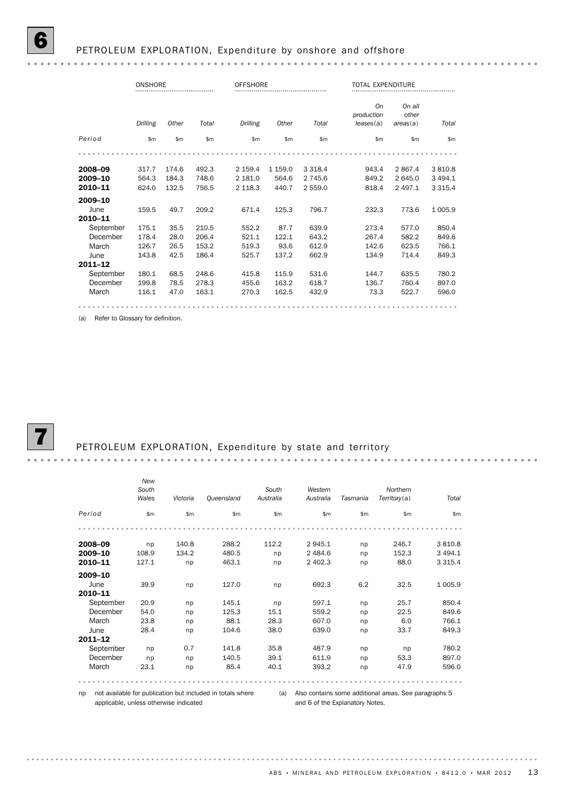|           | ONSHORE  |       |       | <b>OFFSHORE</b> |           |           | TOTAL EXPENDITURE             |                            |             |
|-----------|----------|-------|-------|-----------------|-----------|-----------|-------------------------------|----------------------------|-------------|
|           | Drilling | Other | Total | Drilling        | Other     | Total     | On<br>production<br>leases(a) | On all<br>other<br>area(a) | Total       |
| Period    | \$m      | \$m\$ | \$m\$ | \$m\$           | \$m\$     | \$m       | \$m                           | \$m                        | \$m         |
|           |          |       |       |                 |           |           |                               |                            |             |
| 2008-09   | 317.7    | 174.6 | 492.3 | 2 159.4         | 1 1 5 9.0 | 3 3 1 8.4 | 943.4                         | 2 8 6 7.4                  | 3810.8      |
| 2009-10   | 564.3    | 184.3 | 748.6 | 2 181.0         | 564.6     | 2 745.6   | 849.2                         | 2 645.0                    | 3 4 9 4.1   |
| 2010-11   | 624.0    | 132.5 | 756.5 | 2 1 1 8 . 3     | 440.7     | 2 559.0   | 818.4                         | 2 4 9 7.1                  | 3 3 1 5 . 4 |
| 2009-10   |          |       |       |                 |           |           |                               |                            |             |
| June      | 159.5    | 49.7  | 209.2 | 671.4           | 125.3     | 796.7     | 232.3                         | 773.6                      | 1 005.9     |
| 2010-11   |          |       |       |                 |           |           |                               |                            |             |
| September | 175.1    | 35.5  | 210.5 | 552.2           | 87.7      | 639.9     | 273.4                         | 577.0                      | 850.4       |
| December  | 178.4    | 28.0  | 206.4 | 521.1           | 122.1     | 643.2     | 267.4                         | 582.2                      | 849.6       |
| March     | 126.7    | 26.5  | 153.2 | 519.3           | 93.6      | 612.9     | 142.6                         | 623.5                      | 766.1       |
| June      | 143.8    | 42.5  | 186.4 | 525.7           | 137.2     | 662.9     | 134.9                         | 714.4                      | 849.3       |
| 2011-12   |          |       |       |                 |           |           |                               |                            |             |
| September | 180.1    | 68.5  | 248.6 | 415.8           | 115.9     | 531.6     | 144.7                         | 635.5                      | 780.2       |
| December  | 199.8    | 78.5  | 278.3 | 455.6           | 163.2     | 618.7     | 136.7                         | 760.4                      | 897.0       |
| March     | 116.1    | 47.0  | 163.1 | 270.3           | 162.5     | 432.9     | 73.3                          | 522.7                      | 596.0       |
|           |          |       |       |                 |           |           |                               |                            |             |

(a) Refer to Glossary for definition.

 $\mathbf{a} \cdot \mathbf{a} \cdot \mathbf{a} \cdot \mathbf{a}$ 

### PETROLEUM EXPLORATION, Expenditure by state and territory

|           | New<br>South |          |            | South     | Western   |          | Northern     |           |
|-----------|--------------|----------|------------|-----------|-----------|----------|--------------|-----------|
|           | Wales        | Victoria | Queensland | Australia | Australia | Tasmania | Territory(a) | Total     |
| Period    | \$m\$        | \$m      | \$m        | \$m       | \$m\$     | \$m      | \$m          | \$m\$     |
|           |              |          |            |           |           |          |              |           |
| 2008-09   | np           | 140.8    | 288.2      | 112.2     | 2945.1    | np       | 246.7        | 3810.8    |
| 2009-10   | 108.9        | 134.2    | 480.5      | np        | 2 4 8 4.6 | np       | 152.3        | 3 4 9 4.1 |
| 2010-11   | 127.1        | np       | 463.1      | np        | 2 402.3   | np       | 88.0         | 3 3 1 5.4 |
| 2009-10   |              |          |            |           |           |          |              |           |
| June      | 39.9         | np       | 127.0      | np        | 692.3     | 6.2      | 32.5         | 1 0 0 5.9 |
| 2010-11   |              |          |            |           |           |          |              |           |
| September | 20.9         | np       | 145.1      | np        | 597.1     | np       | 25.7         | 850.4     |
| December  | 54.0         | np       | 125.3      | 15.1      | 559.2     | np       | 22.5         | 849.6     |
| March     | 23.8         | np       | 88.1       | 28.3      | 607.0     | np       | 6.0          | 766.1     |
| June      | 28.4         | np       | 104.6      | 38.0      | 639.0     | np       | 33.7         | 849.3     |
| 2011-12   |              |          |            |           |           |          |              |           |
| September | np           | 0.7      | 141.8      | 35.8      | 487.9     | np       | np           | 780.2     |
| December  | np           | np       | 140.5      | 39.1      | 611.9     | np       | 53.3         | 897.0     |
| March     | 23.1         | np       | 85.4       | 40.1      | 393.2     | np       | 47.9         | 596.0     |
|           |              |          |            |           |           |          |              |           |

np not available for publication but included in totals where (a) Also contains some additional areas. See paragraphs 5 applicable, unless otherwise indicated

and 6 of the Explanatory Notes.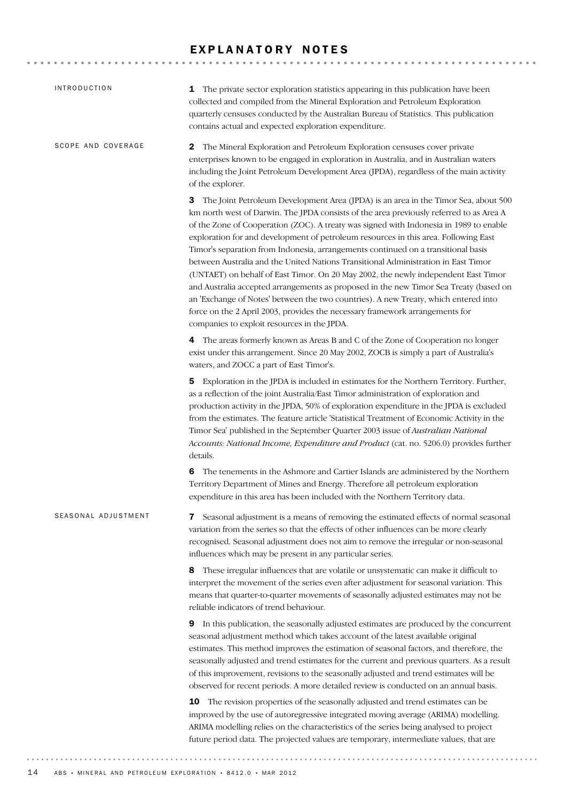### EXPLANATORY NOTES

| INTRODUCTION        | <b>1</b> The private sector exploration statistics appearing in this publication have been<br>collected and compiled from the Mineral Exploration and Petroleum Exploration<br>quarterly censuses conducted by the Australian Bureau of Statistics. This publication<br>contains actual and expected exploration expenditure.                                                                                                                                                                                                                                                                                                                                                                                                                                                                                                                                                                                                                    |
|---------------------|--------------------------------------------------------------------------------------------------------------------------------------------------------------------------------------------------------------------------------------------------------------------------------------------------------------------------------------------------------------------------------------------------------------------------------------------------------------------------------------------------------------------------------------------------------------------------------------------------------------------------------------------------------------------------------------------------------------------------------------------------------------------------------------------------------------------------------------------------------------------------------------------------------------------------------------------------|
| SCOPE AND COVERAGE  | The Mineral Exploration and Petroleum Exploration censuses cover private<br>2<br>enterprises known to be engaged in exploration in Australia, and in Australian waters<br>including the Joint Petroleum Development Area (JPDA), regardless of the main activity<br>of the explorer.                                                                                                                                                                                                                                                                                                                                                                                                                                                                                                                                                                                                                                                             |
|                     | 3 The Joint Petroleum Development Area (JPDA) is an area in the Timor Sea, about 500<br>km north west of Darwin. The JPDA consists of the area previously referred to as Area A<br>of the Zone of Cooperation (ZOC). A treaty was signed with Indonesia in 1989 to enable<br>exploration for and development of petroleum resources in this area. Following East<br>Timor's separation from Indonesia, arrangements continued on a transitional basis<br>between Australia and the United Nations Transitional Administration in East Timor<br>(UNTAET) on behalf of East Timor. On 20 May 2002, the newly independent East Timor<br>and Australia accepted arrangements as proposed in the new Timor Sea Treaty (based on<br>an 'Exchange of Notes' between the two countries). A new Treaty, which entered into<br>force on the 2 April 2003, provides the necessary framework arrangements for<br>companies to exploit resources in the JPDA. |
|                     | 4 The areas formerly known as Areas B and C of the Zone of Cooperation no longer<br>exist under this arrangement. Since 20 May 2002, ZOCB is simply a part of Australia's<br>waters, and ZOCC a part of East Timor's.                                                                                                                                                                                                                                                                                                                                                                                                                                                                                                                                                                                                                                                                                                                            |
|                     | <b>5</b> Exploration in the JPDA is included in estimates for the Northern Territory. Further,<br>as a reflection of the joint Australia/East Timor administration of exploration and<br>production activity in the JPDA, 50% of exploration expenditure in the JPDA is excluded<br>from the estimates. The feature article 'Statistical Treatment of Economic Activity in the<br>Timor Sea' published in the September Quarter 2003 issue of Australian National<br>Accounts: National Income, Expenditure and Product (cat. no. 5206.0) provides further<br>details.                                                                                                                                                                                                                                                                                                                                                                           |
|                     | The tenements in the Ashmore and Cartier Islands are administered by the Northern<br>6<br>Territory Department of Mines and Energy. Therefore all petroleum exploration<br>expenditure in this area has been included with the Northern Territory data.                                                                                                                                                                                                                                                                                                                                                                                                                                                                                                                                                                                                                                                                                          |
| SEASONAL ADJUSTMENT | Seasonal adjustment is a means of removing the estimated effects of normal seasonal<br>7<br>variation from the series so that the effects of other influences can be more clearly<br>recognised. Seasonal adjustment does not aim to remove the irregular or non-seasonal<br>influences which may be present in any particular series.                                                                                                                                                                                                                                                                                                                                                                                                                                                                                                                                                                                                           |
|                     | 8 These irregular influences that are volatile or unsystematic can make it difficult to<br>interpret the movement of the series even after adjustment for seasonal variation. This<br>means that quarter-to-quarter movements of seasonally adjusted estimates may not be<br>reliable indicators of trend behaviour.                                                                                                                                                                                                                                                                                                                                                                                                                                                                                                                                                                                                                             |
|                     | 9 In this publication, the seasonally adjusted estimates are produced by the concurrent<br>seasonal adjustment method which takes account of the latest available original<br>estimates. This method improves the estimation of seasonal factors, and therefore, the<br>seasonally adjusted and trend estimates for the current and previous quarters. As a result<br>of this improvement, revisions to the seasonally adjusted and trend estimates will be<br>observed for recent periods. A more detailed review is conducted on an annual basis.                                                                                                                                                                                                                                                                                                                                                                                              |
|                     | 10 The revision properties of the seasonally adjusted and trend estimates can be<br>improved by the use of autoregressive integrated moving average (ARIMA) modelling.<br>ARIMA modelling relies on the characteristics of the series being analysed to project<br>future period data. The projected values are temporary, intermediate values, that are                                                                                                                                                                                                                                                                                                                                                                                                                                                                                                                                                                                         |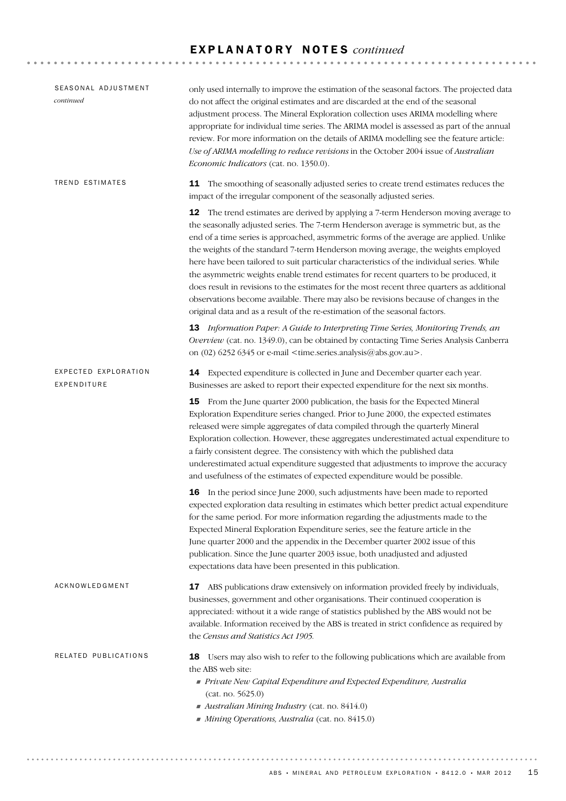### E X P L A N A T O R Y N O T E S *continued*

| SEASONAL ADJUSTMENT<br>continued    | only used internally to improve the estimation of the seasonal factors. The projected data<br>do not affect the original estimates and are discarded at the end of the seasonal<br>adjustment process. The Mineral Exploration collection uses ARIMA modelling where<br>appropriate for individual time series. The ARIMA model is assessed as part of the annual<br>review. For more information on the details of ARIMA modelling see the feature article:<br>Use of ARIMA modelling to reduce revisions in the October 2004 issue of Australian<br>Economic Indicators (cat. no. 1350.0).                                                                                                                                                                                                                            |
|-------------------------------------|-------------------------------------------------------------------------------------------------------------------------------------------------------------------------------------------------------------------------------------------------------------------------------------------------------------------------------------------------------------------------------------------------------------------------------------------------------------------------------------------------------------------------------------------------------------------------------------------------------------------------------------------------------------------------------------------------------------------------------------------------------------------------------------------------------------------------|
| TREND ESTIMATES                     | 11 The smoothing of seasonally adjusted series to create trend estimates reduces the<br>impact of the irregular component of the seasonally adjusted series.                                                                                                                                                                                                                                                                                                                                                                                                                                                                                                                                                                                                                                                            |
|                                     | 12 The trend estimates are derived by applying a 7-term Henderson moving average to<br>the seasonally adjusted series. The 7-term Henderson average is symmetric but, as the<br>end of a time series is approached, asymmetric forms of the average are applied. Unlike<br>the weights of the standard 7-term Henderson moving average, the weights employed<br>here have been tailored to suit particular characteristics of the individual series. While<br>the asymmetric weights enable trend estimates for recent quarters to be produced, it<br>does result in revisions to the estimates for the most recent three quarters as additional<br>observations become available. There may also be revisions because of changes in the<br>original data and as a result of the re-estimation of the seasonal factors. |
|                                     | 13 Information Paper: A Guide to Interpreting Time Series, Monitoring Trends, an<br>Overview (cat. no. 1349.0), can be obtained by contacting Time Series Analysis Canberra<br>on (02) 6252 6345 or e-mail <time.series.analysis@abs.gov.au>.</time.series.analysis@abs.gov.au>                                                                                                                                                                                                                                                                                                                                                                                                                                                                                                                                         |
| EXPECTED EXPLORATION<br>EXPENDITURE | 14 Expected expenditure is collected in June and December quarter each year.<br>Businesses are asked to report their expected expenditure for the next six months.                                                                                                                                                                                                                                                                                                                                                                                                                                                                                                                                                                                                                                                      |
|                                     | 15<br>From the June quarter 2000 publication, the basis for the Expected Mineral<br>Exploration Expenditure series changed. Prior to June 2000, the expected estimates<br>released were simple aggregates of data compiled through the quarterly Mineral<br>Exploration collection. However, these aggregates underestimated actual expenditure to<br>a fairly consistent degree. The consistency with which the published data<br>underestimated actual expenditure suggested that adjustments to improve the accuracy<br>and usefulness of the estimates of expected expenditure would be possible.                                                                                                                                                                                                                   |
|                                     | 16 In the period since June 2000, such adjustments have been made to reported<br>expected exploration data resulting in estimates which better predict actual expenditure<br>for the same period. For more information regarding the adjustments made to the<br>Expected Mineral Exploration Expenditure series, see the feature article in the<br>June quarter 2000 and the appendix in the December quarter 2002 issue of this<br>publication. Since the June quarter 2003 issue, both unadjusted and adjusted<br>expectations data have been presented in this publication.                                                                                                                                                                                                                                          |
| ACKNOWLEDGMENT                      | ABS publications draw extensively on information provided freely by individuals,<br>17<br>businesses, government and other organisations. Their continued cooperation is<br>appreciated: without it a wide range of statistics published by the ABS would not be<br>available. Information received by the ABS is treated in strict confidence as required by<br>the Census and Statistics Act 1905.                                                                                                                                                                                                                                                                                                                                                                                                                    |
| RELATED PUBLICATIONS                | Users may also wish to refer to the following publications which are available from<br>18<br>the ABS web site:<br>Private New Capital Expenditure and Expected Expenditure, Australia<br>(cat. no. 5625.0)<br>Australian Mining Industry (cat. no. 8414.0)<br>Mining Operations, Australia (cat. no. 8415.0)                                                                                                                                                                                                                                                                                                                                                                                                                                                                                                            |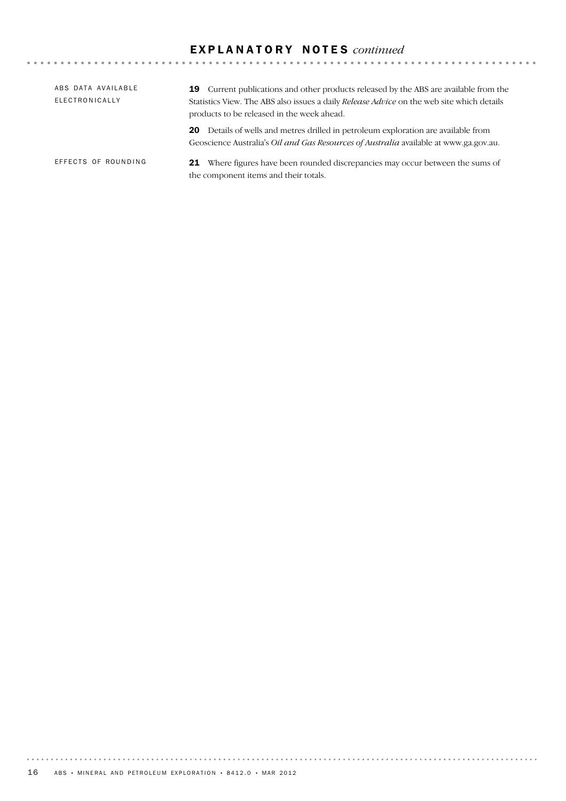### E X P L A N A T O R Y N O T E S *continued*

| ABS DATA AVAILABLE<br>ELECTRONICALLY | <b>19</b> Current publications and other products released by the ABS are available from the<br>Statistics View. The ABS also issues a daily <i>Release Advice</i> on the web site which details<br>products to be released in the week ahead. |  |  |  |
|--------------------------------------|------------------------------------------------------------------------------------------------------------------------------------------------------------------------------------------------------------------------------------------------|--|--|--|
|                                      | 20 Details of wells and metres drilled in petroleum exploration are available from<br>Geoscience Australia's <i>Oil and Gas Resources of Australia</i> available at www.ga.gov.au.                                                             |  |  |  |
| EFFECTS OF ROUNDING                  | <b>21</b> Where figures have been rounded discrepancies may occur between the sums of<br>the component items and their totals.                                                                                                                 |  |  |  |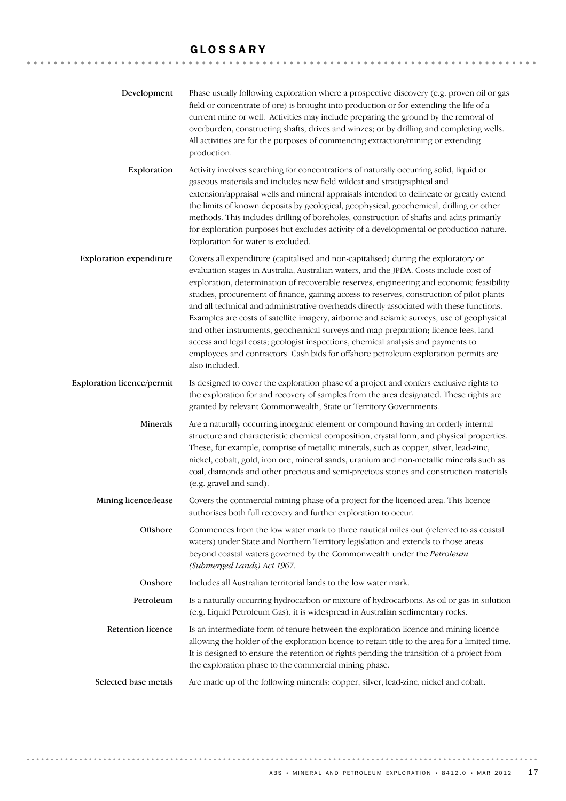# GLOSSARY

| Development                       | Phase usually following exploration where a prospective discovery (e.g. proven oil or gas<br>field or concentrate of ore) is brought into production or for extending the life of a<br>current mine or well. Activities may include preparing the ground by the removal of<br>overburden, constructing shafts, drives and winzes; or by drilling and completing wells.<br>All activities are for the purposes of commencing extraction/mining or extending<br>production.                                                                                                                                                                                                                                                                                                                                                                         |
|-----------------------------------|---------------------------------------------------------------------------------------------------------------------------------------------------------------------------------------------------------------------------------------------------------------------------------------------------------------------------------------------------------------------------------------------------------------------------------------------------------------------------------------------------------------------------------------------------------------------------------------------------------------------------------------------------------------------------------------------------------------------------------------------------------------------------------------------------------------------------------------------------|
| Exploration                       | Activity involves searching for concentrations of naturally occurring solid, liquid or<br>gaseous materials and includes new field wildcat and stratigraphical and<br>extension/appraisal wells and mineral appraisals intended to delineate or greatly extend<br>the limits of known deposits by geological, geophysical, geochemical, drilling or other<br>methods. This includes drilling of boreholes, construction of shafts and adits primarily<br>for exploration purposes but excludes activity of a developmental or production nature.<br>Exploration for water is excluded.                                                                                                                                                                                                                                                            |
| <b>Exploration expenditure</b>    | Covers all expenditure (capitalised and non-capitalised) during the exploratory or<br>evaluation stages in Australia, Australian waters, and the JPDA. Costs include cost of<br>exploration, determination of recoverable reserves, engineering and economic feasibility<br>studies, procurement of finance, gaining access to reserves, construction of pilot plants<br>and all technical and administrative overheads directly associated with these functions.<br>Examples are costs of satellite imagery, airborne and seismic surveys, use of geophysical<br>and other instruments, geochemical surveys and map preparation; licence fees, land<br>access and legal costs; geologist inspections, chemical analysis and payments to<br>employees and contractors. Cash bids for offshore petroleum exploration permits are<br>also included. |
| <b>Exploration licence/permit</b> | Is designed to cover the exploration phase of a project and confers exclusive rights to<br>the exploration for and recovery of samples from the area designated. These rights are<br>granted by relevant Commonwealth, State or Territory Governments.                                                                                                                                                                                                                                                                                                                                                                                                                                                                                                                                                                                            |
| Minerals                          | Are a naturally occurring inorganic element or compound having an orderly internal<br>structure and characteristic chemical composition, crystal form, and physical properties.<br>These, for example, comprise of metallic minerals, such as copper, silver, lead-zinc,<br>nickel, cobalt, gold, iron ore, mineral sands, uranium and non-metallic minerals such as<br>coal, diamonds and other precious and semi-precious stones and construction materials<br>(e.g. gravel and sand).                                                                                                                                                                                                                                                                                                                                                          |
| Mining licence/lease              | Covers the commercial mining phase of a project for the licenced area. This licence<br>authorises both full recovery and further exploration to occur.                                                                                                                                                                                                                                                                                                                                                                                                                                                                                                                                                                                                                                                                                            |
| Offshore                          | Commences from the low water mark to three nautical miles out (referred to as coastal<br>waters) under State and Northern Territory legislation and extends to those areas<br>beyond coastal waters governed by the Commonwealth under the Petroleum<br>(Submerged Lands) Act 1967.                                                                                                                                                                                                                                                                                                                                                                                                                                                                                                                                                               |
| Onshore                           | Includes all Australian territorial lands to the low water mark.                                                                                                                                                                                                                                                                                                                                                                                                                                                                                                                                                                                                                                                                                                                                                                                  |
| Petroleum                         | Is a naturally occurring hydrocarbon or mixture of hydrocarbons. As oil or gas in solution<br>(e.g. Liquid Petroleum Gas), it is widespread in Australian sedimentary rocks.                                                                                                                                                                                                                                                                                                                                                                                                                                                                                                                                                                                                                                                                      |
| <b>Retention licence</b>          | Is an intermediate form of tenure between the exploration licence and mining licence<br>allowing the holder of the exploration licence to retain title to the area for a limited time.<br>It is designed to ensure the retention of rights pending the transition of a project from<br>the exploration phase to the commercial mining phase.                                                                                                                                                                                                                                                                                                                                                                                                                                                                                                      |
| Selected base metals              | Are made up of the following minerals: copper, silver, lead-zinc, nickel and cobalt.                                                                                                                                                                                                                                                                                                                                                                                                                                                                                                                                                                                                                                                                                                                                                              |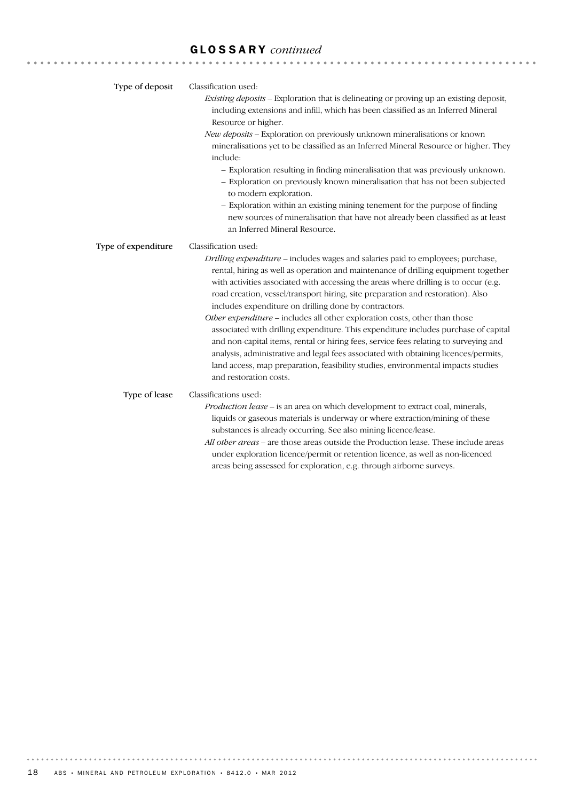# GLOSSARY *continued*

| Type of deposit     | Classification used:<br>Existing deposits - Exploration that is delineating or proving up an existing deposit,<br>including extensions and infill, which has been classified as an Inferred Mineral<br>Resource or higher.<br>New deposits - Exploration on previously unknown mineralisations or known<br>mineralisations yet to be classified as an Inferred Mineral Resource or higher. They<br>include:<br>- Exploration resulting in finding mineralisation that was previously unknown.<br>- Exploration on previously known mineralisation that has not been subjected<br>to modern exploration.<br>- Exploration within an existing mining tenement for the purpose of finding<br>new sources of mineralisation that have not already been classified as at least<br>an Inferred Mineral Resource.                                                                                          |
|---------------------|-----------------------------------------------------------------------------------------------------------------------------------------------------------------------------------------------------------------------------------------------------------------------------------------------------------------------------------------------------------------------------------------------------------------------------------------------------------------------------------------------------------------------------------------------------------------------------------------------------------------------------------------------------------------------------------------------------------------------------------------------------------------------------------------------------------------------------------------------------------------------------------------------------|
| Type of expenditure | Classification used:<br>Drilling expenditure – includes wages and salaries paid to employees; purchase,<br>rental, hiring as well as operation and maintenance of drilling equipment together<br>with activities associated with accessing the areas where drilling is to occur (e.g.<br>road creation, vessel/transport hiring, site preparation and restoration). Also<br>includes expenditure on drilling done by contractors.<br>Other expenditure - includes all other exploration costs, other than those<br>associated with drilling expenditure. This expenditure includes purchase of capital<br>and non-capital items, rental or hiring fees, service fees relating to surveying and<br>analysis, administrative and legal fees associated with obtaining licences/permits,<br>land access, map preparation, feasibility studies, environmental impacts studies<br>and restoration costs. |
| Type of lease       | Classifications used:<br>Production lease - is an area on which development to extract coal, minerals,<br>liquids or gaseous materials is underway or where extraction/mining of these<br>substances is already occurring. See also mining licence/lease.<br>All other areas - are those areas outside the Production lease. These include areas<br>under exploration licence/permit or retention licence, as well as non-licenced<br>areas being assessed for exploration, e.g. through airborne surveys.                                                                                                                                                                                                                                                                                                                                                                                          |